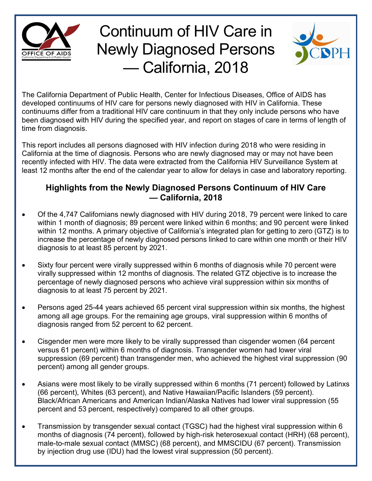

## Continuum of HIV Care in Newly Diagnosed Persons — California, 2018



The California Department of Public Health, Center for Infectious Diseases, Office of AIDS has developed continuums of HIV care for persons newly diagnosed with HIV in California. These continuums differ from a traditional HIV care continuum in that they only include persons who have been diagnosed with HIV during the specified year, and report on stages of care in terms of length of time from diagnosis.

This report includes all persons diagnosed with HIV infection during 2018 who were residing in California at the time of diagnosis. Persons who are newly diagnosed may or may not have been recently infected with HIV. The data were extracted from the California HIV Surveillance System at least 12 months after the end of the calendar year to allow for delays in case and laboratory reporting.

## **Highlights from the Newly Diagnosed Persons Continuum of HIV Care — California, 2018**

- Of the 4,747 Californians newly diagnosed with HIV during 2018, 79 percent were linked to care within 1 month of diagnosis; 89 percent were linked within 6 months; and 90 percent were linked within 12 months. A primary objective of California's integrated plan for getting to zero (GTZ) is to increase the percentage of newly diagnosed persons linked to care within one month or their HIV diagnosis to at least 85 percent by 2021.
- Sixty four percent were virally suppressed within 6 months of diagnosis while 70 percent were virally suppressed within 12 months of diagnosis. The related GTZ objective is to increase the percentage of newly diagnosed persons who achieve viral suppression within six months of diagnosis to at least 75 percent by 2021.
- Persons aged 25-44 years achieved 65 percent viral suppression within six months, the highest among all age groups. For the remaining age groups, viral suppression within 6 months of diagnosis ranged from 52 percent to 62 percent.
- Cisgender men were more likely to be virally suppressed than cisgender women (64 percent versus 61 percent) within 6 months of diagnosis. Transgender women had lower viral suppression (69 percent) than transgender men, who achieved the highest viral suppression (90 percent) among all gender groups.
- Asians were most likely to be virally suppressed within 6 months (71 percent) followed by Latinxs (66 percent), Whites (63 percent), and Native Hawaiian/Pacific Islanders (59 percent). Black/African Americans and American Indian/Alaska Natives had lower viral suppression (55 percent and 53 percent, respectively) compared to all other groups.
- Transmission by transgender sexual contact (TGSC) had the highest viral suppression within 6 months of diagnosis (74 percent), followed by high-risk heterosexual contact (HRH) (68 percent), male-to-male sexual contact (MMSC) (68 percent), and MMSCIDU (67 percent). Transmission by injection drug use (IDU) had the lowest viral suppression (50 percent).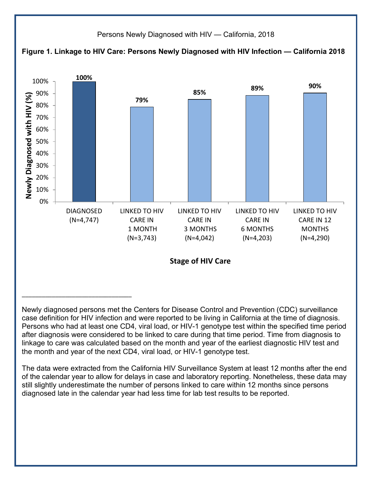

Newly diagnosed persons met the Centers for Disease Control and Prevention (CDC) surveillance case definition for HIV infection and were reported to be living in California at the time of diagnosis. Persons who had at least one CD4, viral load, or HIV-1 genotype test within the specified time period after diagnosis were considered to be linked to care during that time period. Time from diagnosis to linkage to care was calculated based on the month and year of the earliest diagnostic HIV test and the month and year of the next CD4, viral load, or HIV-1 genotype test.

The data were extracted from the California HIV Surveillance System at least 12 months after the end of the calendar year to allow for delays in case and laboratory reporting. Nonetheless, these data may still slightly underestimate the number of persons linked to care within 12 months since persons diagnosed late in the calendar year had less time for lab test results to be reported.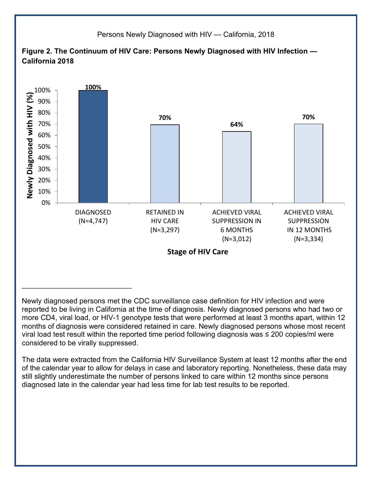

Newly diagnosed persons met the CDC surveillance case definition for HIV infection and were reported to be living in California at the time of diagnosis. Newly diagnosed persons who had two or more CD4, viral load, or HIV-1 genotype tests that were performed at least 3 months apart, within 12 months of diagnosis were considered retained in care. Newly diagnosed persons whose most recent viral load test result within the reported time period following diagnosis was ≤ 200 copies/ml were considered to be virally suppressed.

The data were extracted from the California HIV Surveillance System at least 12 months after the end of the calendar year to allow for delays in case and laboratory reporting. Nonetheless, these data may still slightly underestimate the number of persons linked to care within 12 months since persons diagnosed late in the calendar year had less time for lab test results to be reported.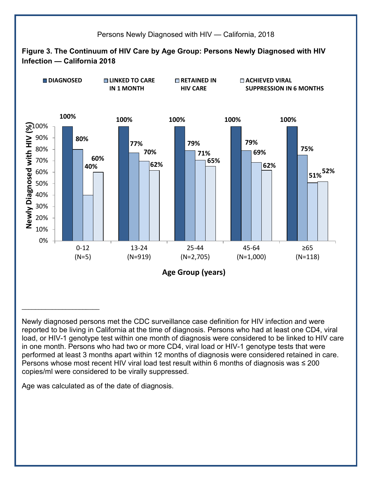

Newly diagnosed persons met the CDC surveillance case definition for HIV infection and were reported to be living in California at the time of diagnosis. Persons who had at least one CD4, viral load, or HIV-1 genotype test within one month of diagnosis were considered to be linked to HIV care in one month. Persons who had two or more CD4, viral load or HIV-1 genotype tests that were performed at least 3 months apart within 12 months of diagnosis were considered retained in care. Persons whose most recent HIV viral load test result within 6 months of diagnosis was ≤ 200 copies/ml were considered to be virally suppressed.

Age was calculated as of the date of diagnosis.

 $\mathcal{L}_\text{max}$  , where  $\mathcal{L}_\text{max}$  and  $\mathcal{L}_\text{max}$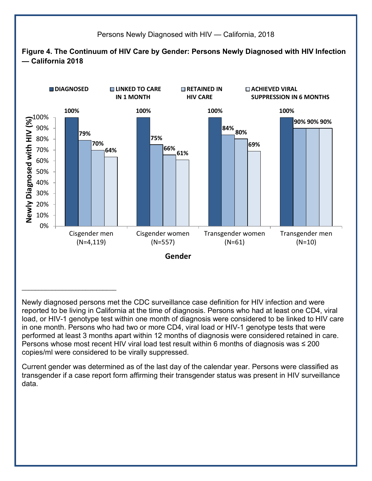

Newly diagnosed persons met the CDC surveillance case definition for HIV infection and were reported to be living in California at the time of diagnosis. Persons who had at least one CD4, viral load, or HIV-1 genotype test within one month of diagnosis were considered to be linked to HIV care in one month. Persons who had two or more CD4, viral load or HIV-1 genotype tests that were performed at least 3 months apart within 12 months of diagnosis were considered retained in care. Persons whose most recent HIV viral load test result within 6 months of diagnosis was ≤ 200 copies/ml were considered to be virally suppressed.

Current gender was determined as of the last day of the calendar year. Persons were classified as transgender if a case report form affirming their transgender status was present in HIV surveillance data.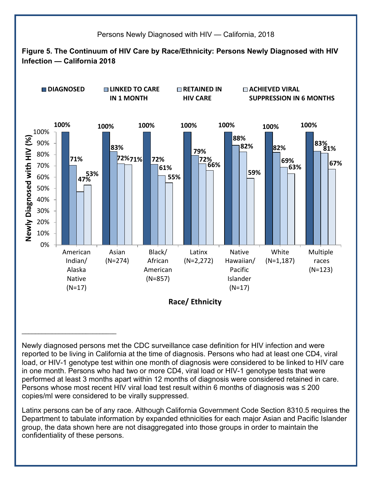

Newly diagnosed persons met the CDC surveillance case definition for HIV infection and were reported to be living in California at the time of diagnosis. Persons who had at least one CD4, viral load, or HIV-1 genotype test within one month of diagnosis were considered to be linked to HIV care in one month. Persons who had two or more CD4, viral load or HIV-1 genotype tests that were performed at least 3 months apart within 12 months of diagnosis were considered retained in care. Persons whose most recent HIV viral load test result within 6 months of diagnosis was ≤ 200 copies/ml were considered to be virally suppressed.

 $\mathcal{L}_\text{max}$  , where  $\mathcal{L}_\text{max}$  , we have the set of the set of the set of the set of the set of the set of the set of the set of the set of the set of the set of the set of the set of the set of the set of the set of

Latinx persons can be of any race. Although California Government Code Section 8310.5 requires the Department to tabulate information by expanded ethnicities for each major Asian and Pacific Islander group, the data shown here are not disaggregated into those groups in order to maintain the confidentiality of these persons.